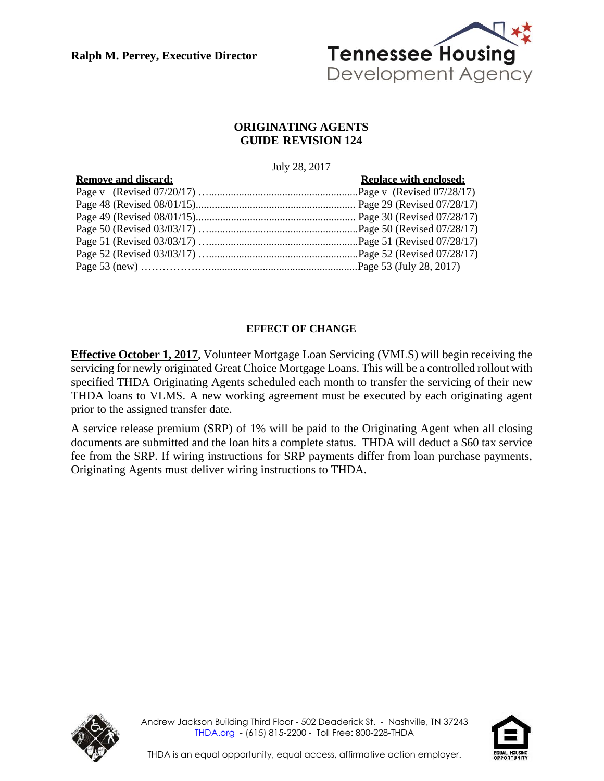**Ralph M. Perrey, Executive Director**



# **ORIGINATING AGENTS GUIDE REVISION 124**

#### July 28, 2017

| <b>Remove and discard:</b> | <b>Replace with enclosed:</b> |
|----------------------------|-------------------------------|
|                            |                               |
|                            |                               |
|                            |                               |
|                            |                               |
|                            |                               |
|                            |                               |
|                            |                               |

# **EFFECT OF CHANGE**

**Effective October 1, 2017**, Volunteer Mortgage Loan Servicing (VMLS) will begin receiving the servicing for newly originated Great Choice Mortgage Loans. This will be a controlled rollout with specified THDA Originating Agents scheduled each month to transfer the servicing of their new THDA loans to VLMS. A new working agreement must be executed by each originating agent prior to the assigned transfer date.

A service release premium (SRP) of 1% will be paid to the Originating Agent when all closing documents are submitted and the loan hits a complete status. THDA will deduct a \$60 tax service fee from the SRP. If wiring instructions for SRP payments differ from loan purchase payments, Originating Agents must deliver wiring instructions to THDA.



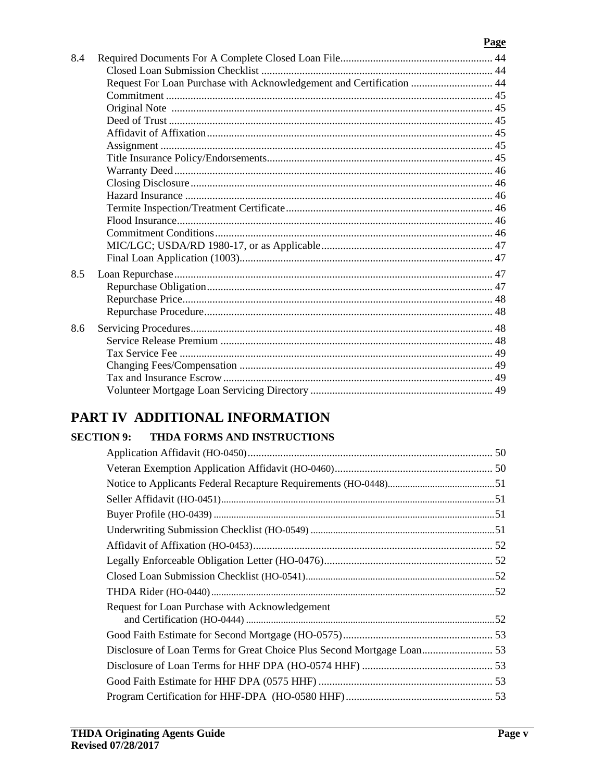# Page

| 8.4 |                                                                      |  |
|-----|----------------------------------------------------------------------|--|
|     |                                                                      |  |
|     | Request For Loan Purchase with Acknowledgement and Certification  44 |  |
|     |                                                                      |  |
|     |                                                                      |  |
|     |                                                                      |  |
|     |                                                                      |  |
|     |                                                                      |  |
|     |                                                                      |  |
|     |                                                                      |  |
|     |                                                                      |  |
|     |                                                                      |  |
|     |                                                                      |  |
|     |                                                                      |  |
|     |                                                                      |  |
|     |                                                                      |  |
|     |                                                                      |  |
| 8.5 |                                                                      |  |
|     |                                                                      |  |
|     |                                                                      |  |
|     |                                                                      |  |
| 8.6 |                                                                      |  |
|     |                                                                      |  |
|     |                                                                      |  |
|     |                                                                      |  |
|     |                                                                      |  |
|     |                                                                      |  |
|     |                                                                      |  |

# PART IV ADDITIONAL INFORMATION

# **SECTION 9: THDA FORMS AND INSTRUCTIONS**

| Request for Loan Purchase with Acknowledgement |                                                                        |
|------------------------------------------------|------------------------------------------------------------------------|
|                                                |                                                                        |
|                                                |                                                                        |
|                                                |                                                                        |
|                                                |                                                                        |
|                                                |                                                                        |
|                                                |                                                                        |
|                                                | Disclosure of Loan Terms for Great Choice Plus Second Mortgage Loan 53 |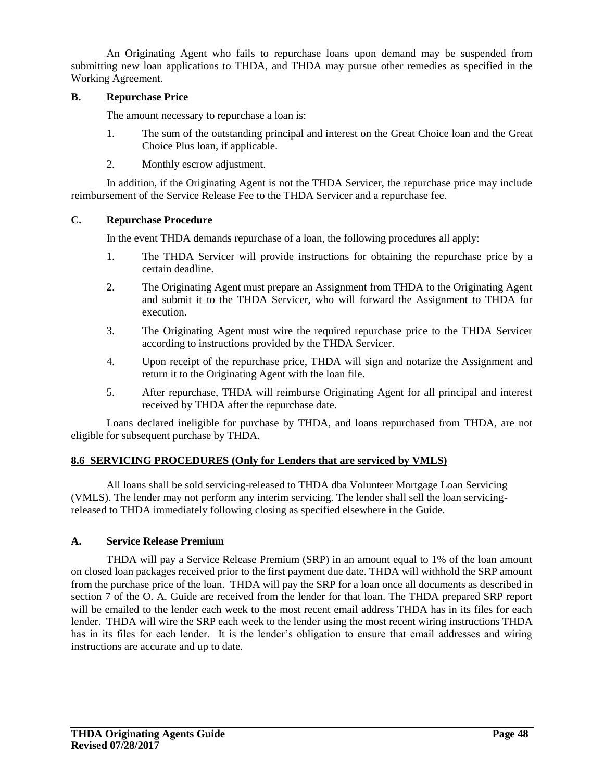An Originating Agent who fails to repurchase loans upon demand may be suspended from submitting new loan applications to THDA, and THDA may pursue other remedies as specified in the Working Agreement.

#### **B. Repurchase Price**

The amount necessary to repurchase a loan is:

- 1. The sum of the outstanding principal and interest on the Great Choice loan and the Great Choice Plus loan, if applicable.
- 2. Monthly escrow adjustment.

In addition, if the Originating Agent is not the THDA Servicer, the repurchase price may include reimbursement of the Service Release Fee to the THDA Servicer and a repurchase fee.

#### **C. Repurchase Procedure**

In the event THDA demands repurchase of a loan, the following procedures all apply:

- 1. The THDA Servicer will provide instructions for obtaining the repurchase price by a certain deadline.
- 2. The Originating Agent must prepare an Assignment from THDA to the Originating Agent and submit it to the THDA Servicer, who will forward the Assignment to THDA for execution.
- 3. The Originating Agent must wire the required repurchase price to the THDA Servicer according to instructions provided by the THDA Servicer.
- 4. Upon receipt of the repurchase price, THDA will sign and notarize the Assignment and return it to the Originating Agent with the loan file.
- 5. After repurchase, THDA will reimburse Originating Agent for all principal and interest received by THDA after the repurchase date.

Loans declared ineligible for purchase by THDA, and loans repurchased from THDA, are not eligible for subsequent purchase by THDA.

#### **8.6 SERVICING PROCEDURES (Only for Lenders that are serviced by VMLS)**

All loans shall be sold servicing-released to THDA dba Volunteer Mortgage Loan Servicing (VMLS). The lender may not perform any interim servicing. The lender shall sell the loan servicingreleased to THDA immediately following closing as specified elsewhere in the Guide.

#### **A. Service Release Premium**

THDA will pay a Service Release Premium (SRP) in an amount equal to 1% of the loan amount on closed loan packages received prior to the first payment due date. THDA will withhold the SRP amount from the purchase price of the loan. THDA will pay the SRP for a loan once all documents as described in section 7 of the O. A. Guide are received from the lender for that loan. The THDA prepared SRP report will be emailed to the lender each week to the most recent email address THDA has in its files for each lender. THDA will wire the SRP each week to the lender using the most recent wiring instructions THDA has in its files for each lender. It is the lender's obligation to ensure that email addresses and wiring instructions are accurate and up to date.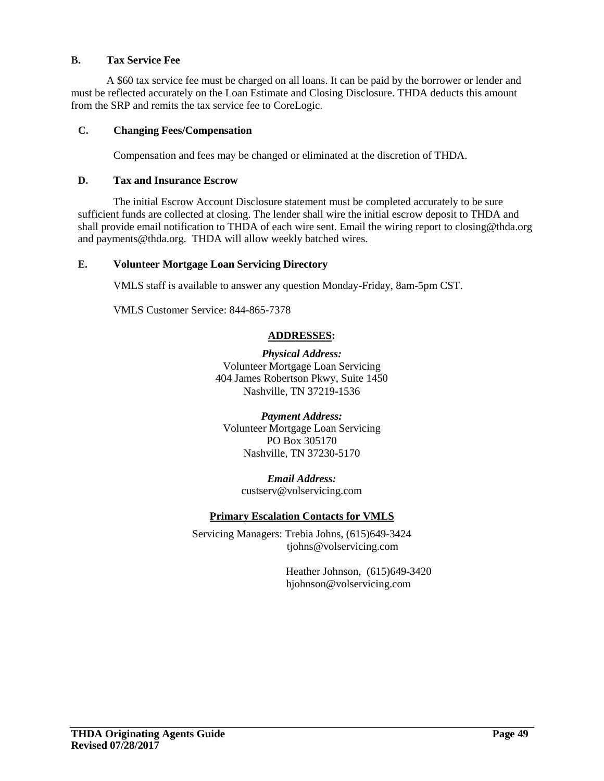# **B. Tax Service Fee**

A \$60 tax service fee must be charged on all loans. It can be paid by the borrower or lender and must be reflected accurately on the Loan Estimate and Closing Disclosure. THDA deducts this amount from the SRP and remits the tax service fee to CoreLogic.

# **C. Changing Fees/Compensation**

Compensation and fees may be changed or eliminated at the discretion of THDA.

#### **D. Tax and Insurance Escrow**

The initial Escrow Account Disclosure statement must be completed accurately to be sure sufficient funds are collected at closing. The lender shall wire the initial escrow deposit to THDA and shall provide email notification to THDA of each wire sent. Email the wiring report to closing@thda.org and payments@thda.org. THDA will allow weekly batched wires.

#### **E. Volunteer Mortgage Loan Servicing Directory**

VMLS staff is available to answer any question Monday-Friday, 8am-5pm CST.

VMLS Customer Service: 844-865-7378

#### **ADDRESSES:**

*Physical Address:* Volunteer Mortgage Loan Servicing 404 James Robertson Pkwy, Suite 1450 Nashville, TN 37219-1536

*Payment Address:* Volunteer Mortgage Loan Servicing PO Box 305170 Nashville, TN 37230-5170

> *Email Address:* custserv@volservicing.com

#### **Primary Escalation Contacts for VMLS**

Servicing Managers: Trebia Johns, (615)649-3424 tjohns@volservicing.com

> Heather Johnson, (615)649-3420 hjohnson@volservicing.com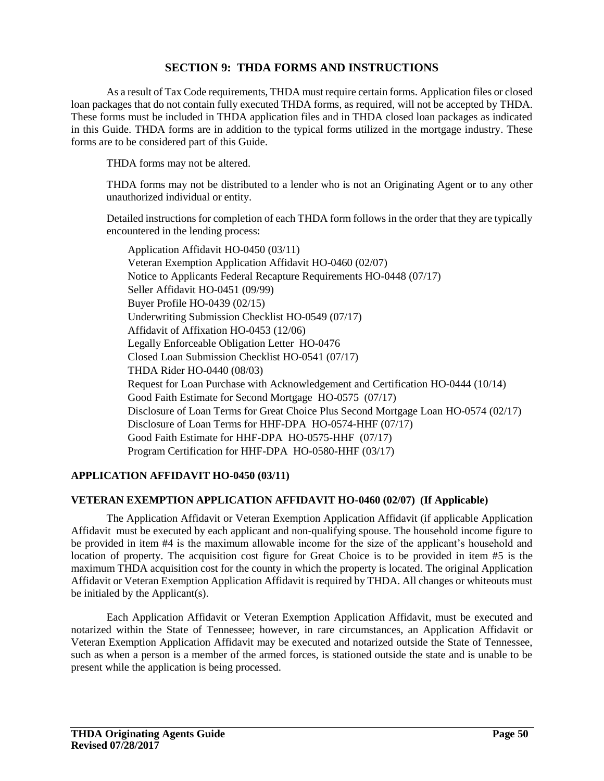# **SECTION 9: THDA FORMS AND INSTRUCTIONS**

As a result of Tax Code requirements, THDA must require certain forms. Application files or closed loan packages that do not contain fully executed THDA forms, as required, will not be accepted by THDA. These forms must be included in THDA application files and in THDA closed loan packages as indicated in this Guide. THDA forms are in addition to the typical forms utilized in the mortgage industry. These forms are to be considered part of this Guide.

THDA forms may not be altered.

THDA forms may not be distributed to a lender who is not an Originating Agent or to any other unauthorized individual or entity.

Detailed instructions for completion of each THDA form follows in the order that they are typically encountered in the lending process:

Application Affidavit HO-0450 (03/11) Veteran Exemption Application Affidavit HO-0460 (02/07) Notice to Applicants Federal Recapture Requirements HO-0448 (07/17) Seller Affidavit HO-0451 (09/99) Buyer Profile HO-0439 (02/15) Underwriting Submission Checklist HO-0549 (07/17) Affidavit of Affixation HO-0453 (12/06) Legally Enforceable Obligation Letter HO-0476 Closed Loan Submission Checklist HO-0541 (07/17) THDA Rider HO-0440 (08/03) Request for Loan Purchase with Acknowledgement and Certification HO-0444 (10/14) Good Faith Estimate for Second Mortgage HO-0575 (07/17) Disclosure of Loan Terms for Great Choice Plus Second Mortgage Loan HO-0574 (02/17) Disclosure of Loan Terms for HHF-DPA HO-0574-HHF (07/17) Good Faith Estimate for HHF-DPA HO-0575-HHF (07/17) Program Certification for HHF-DPA HO-0580-HHF (03/17)

#### **APPLICATION AFFIDAVIT HO-0450 (03/11)**

#### **VETERAN EXEMPTION APPLICATION AFFIDAVIT HO-0460 (02/07) (If Applicable)**

The Application Affidavit or Veteran Exemption Application Affidavit (if applicable Application Affidavit must be executed by each applicant and non-qualifying spouse. The household income figure to be provided in item #4 is the maximum allowable income for the size of the applicant's household and location of property. The acquisition cost figure for Great Choice is to be provided in item #5 is the maximum THDA acquisition cost for the county in which the property is located. The original Application Affidavit or Veteran Exemption Application Affidavit is required by THDA. All changes or whiteouts must be initialed by the Applicant(s).

Each Application Affidavit or Veteran Exemption Application Affidavit, must be executed and notarized within the State of Tennessee; however, in rare circumstances, an Application Affidavit or Veteran Exemption Application Affidavit may be executed and notarized outside the State of Tennessee, such as when a person is a member of the armed forces, is stationed outside the state and is unable to be present while the application is being processed.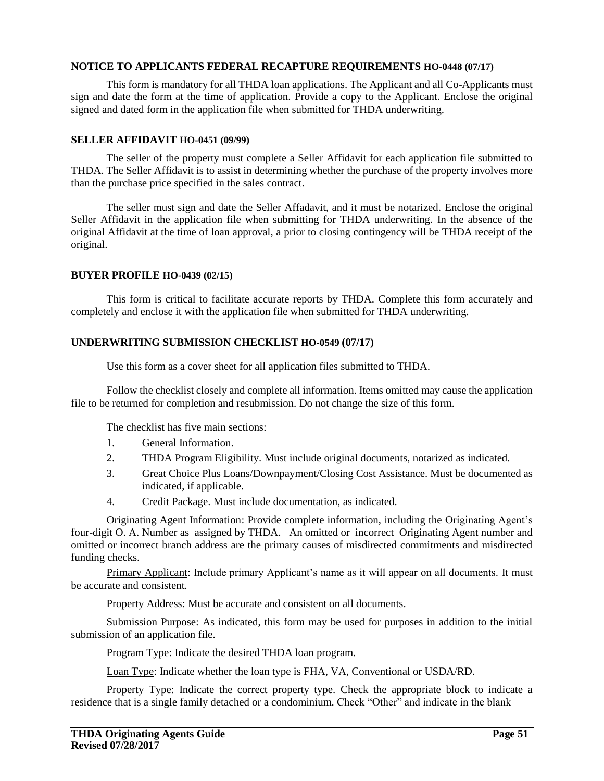#### **NOTICE TO APPLICANTS FEDERAL RECAPTURE REQUIREMENTS HO-0448 (07/17)**

This form is mandatory for all THDA loan applications. The Applicant and all Co-Applicants must sign and date the form at the time of application. Provide a copy to the Applicant. Enclose the original signed and dated form in the application file when submitted for THDA underwriting.

#### **SELLER AFFIDAVIT HO-0451 (09/99)**

The seller of the property must complete a Seller Affidavit for each application file submitted to THDA. The Seller Affidavit is to assist in determining whether the purchase of the property involves more than the purchase price specified in the sales contract.

The seller must sign and date the Seller Affadavit, and it must be notarized. Enclose the original Seller Affidavit in the application file when submitting for THDA underwriting. In the absence of the original Affidavit at the time of loan approval, a prior to closing contingency will be THDA receipt of the original.

#### **BUYER PROFILE HO-0439 (02/15)**

This form is critical to facilitate accurate reports by THDA. Complete this form accurately and completely and enclose it with the application file when submitted for THDA underwriting.

#### **UNDERWRITING SUBMISSION CHECKLIST HO-0549 (07/17)**

Use this form as a cover sheet for all application files submitted to THDA.

Follow the checklist closely and complete all information. Items omitted may cause the application file to be returned for completion and resubmission. Do not change the size of this form.

The checklist has five main sections:

- 1. General Information.
- 2. THDA Program Eligibility. Must include original documents, notarized as indicated.
- 3. Great Choice Plus Loans/Downpayment/Closing Cost Assistance. Must be documented as indicated, if applicable.
- 4. Credit Package. Must include documentation, as indicated.

Originating Agent Information: Provide complete information, including the Originating Agent's four-digit O. A. Number as assigned by THDA. An omitted or incorrect Originating Agent number and omitted or incorrect branch address are the primary causes of misdirected commitments and misdirected funding checks.

Primary Applicant: Include primary Applicant's name as it will appear on all documents. It must be accurate and consistent.

Property Address: Must be accurate and consistent on all documents.

Submission Purpose: As indicated, this form may be used for purposes in addition to the initial submission of an application file.

Program Type: Indicate the desired THDA loan program.

Loan Type: Indicate whether the loan type is FHA, VA, Conventional or USDA/RD.

Property Type: Indicate the correct property type. Check the appropriate block to indicate a residence that is a single family detached or a condominium. Check "Other" and indicate in the blank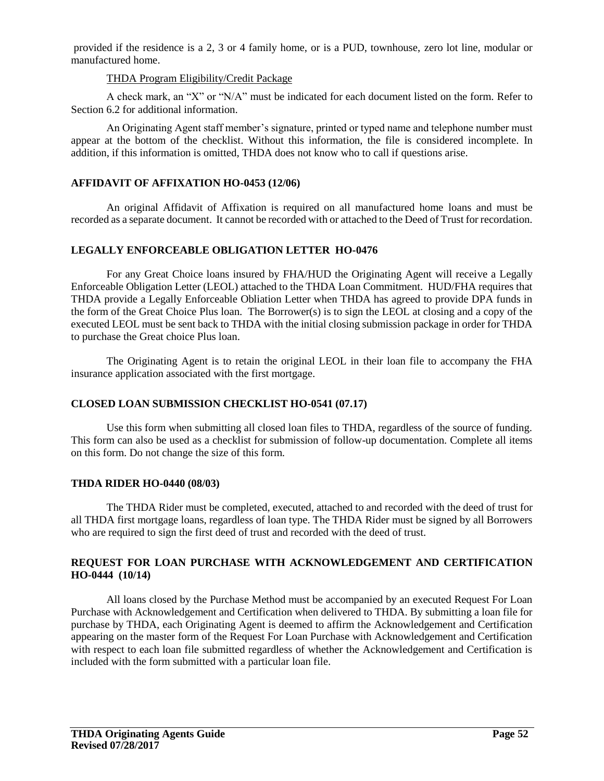provided if the residence is a 2, 3 or 4 family home, or is a PUD, townhouse, zero lot line, modular or manufactured home.

#### THDA Program Eligibility/Credit Package

A check mark, an "X" or "N/A" must be indicated for each document listed on the form. Refer to Section 6.2 for additional information.

An Originating Agent staff member's signature, printed or typed name and telephone number must appear at the bottom of the checklist. Without this information, the file is considered incomplete. In addition, if this information is omitted, THDA does not know who to call if questions arise.

#### **AFFIDAVIT OF AFFIXATION HO-0453 (12/06)**

An original Affidavit of Affixation is required on all manufactured home loans and must be recorded as a separate document. It cannot be recorded with or attached to the Deed of Trust for recordation.

#### **LEGALLY ENFORCEABLE OBLIGATION LETTER HO-0476**

For any Great Choice loans insured by FHA/HUD the Originating Agent will receive a Legally Enforceable Obligation Letter (LEOL) attached to the THDA Loan Commitment. HUD/FHA requires that THDA provide a Legally Enforceable Obliation Letter when THDA has agreed to provide DPA funds in the form of the Great Choice Plus loan. The Borrower(s) is to sign the LEOL at closing and a copy of the executed LEOL must be sent back to THDA with the initial closing submission package in order for THDA to purchase the Great choice Plus loan.

The Originating Agent is to retain the original LEOL in their loan file to accompany the FHA insurance application associated with the first mortgage.

# **CLOSED LOAN SUBMISSION CHECKLIST HO-0541 (07.17)**

Use this form when submitting all closed loan files to THDA, regardless of the source of funding. This form can also be used as a checklist for submission of follow-up documentation. Complete all items on this form. Do not change the size of this form.

#### **THDA RIDER HO-0440 (08/03)**

The THDA Rider must be completed, executed, attached to and recorded with the deed of trust for all THDA first mortgage loans, regardless of loan type. The THDA Rider must be signed by all Borrowers who are required to sign the first deed of trust and recorded with the deed of trust.

#### **REQUEST FOR LOAN PURCHASE WITH ACKNOWLEDGEMENT AND CERTIFICATION HO-0444 (10/14)**

All loans closed by the Purchase Method must be accompanied by an executed Request For Loan Purchase with Acknowledgement and Certification when delivered to THDA. By submitting a loan file for purchase by THDA, each Originating Agent is deemed to affirm the Acknowledgement and Certification appearing on the master form of the Request For Loan Purchase with Acknowledgement and Certification with respect to each loan file submitted regardless of whether the Acknowledgement and Certification is included with the form submitted with a particular loan file.